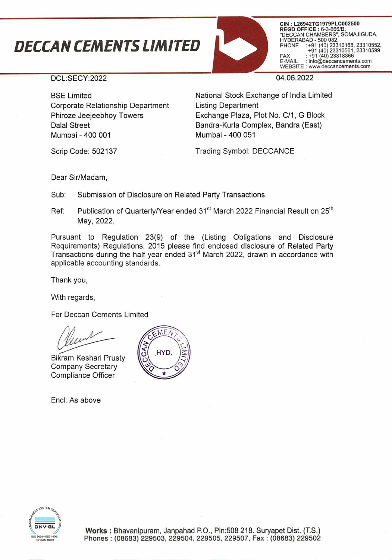## *1JECCAN CEMENTS LIMiTED*



**CIN** : **L26942TG1979PLC002500 REGD OFFICE** : 6-3-666/B, "DECCAN CHAMBERS", SOMAJIGUDA, HYDERABAD - 500 082. PHONE +91 (40) 23310168, 23310552, +91 (40) 23310561, +91 (40)23318366 23310599 FAX<br>E-MAIL : info@deccancements.com WEBSITE : www.deccancements.com

DCL:SECY:2022

BSE Limited Corporate Relationship Department Phiroze Jeejeebhoy Towers Dalal Street Mumbai - 400 001

04.06.2022

National Stock Exchange of India Limited Listing Department Exchange Plaza, Plot No. C/1, G Block Bandra-Kurla Complex, Bandra (East) Mumbai - 400 051

Scrip Code: 502137

Trading Symbol: DECCANCE

Dear Sir/Madam,

Sub: Submission of Disclosure on Related Party Transactions.

Ref: Publication of Quarterly/Year ended 31<sup>st</sup> March 2022 Financial Result on 25<sup>th</sup> May, 2022.

Pursuant to Regulation 23(9) of the (Listing Obligations and Disclosure Requirements) Regulations, 2015 please find enclosed disclosure of Related Party Transactions during the half year ended 31<sup>st</sup> March 2022, drawn in accordance with applicable accounting standards.

Thank you,

With regards,

For Deccan Cements Limited

Bikram Keshari Prusty Company Secretary Compliance Officer

End: As above



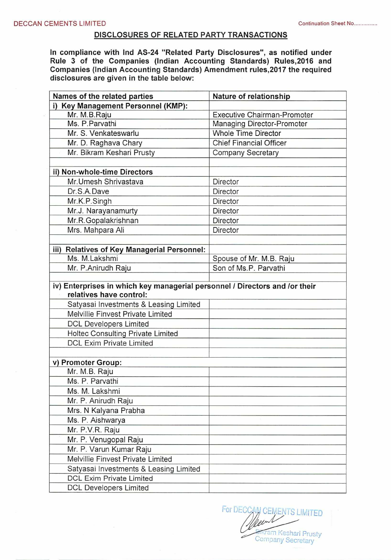## **DISCLOSURES OF RELATED PARTY TRANSACTIONS**

**In compliance with Ind AS-24 "Related Party Disclosures", as notified under Rule 3 of the Companies (Indian Accounting Standards) Rules,2016 and Companies (Indian Accounting Standards) Amendment rules,2017 the required disclosures are given in the table below:** 

| Names of the related parties                                                | Nature of relationship             |
|-----------------------------------------------------------------------------|------------------------------------|
| i) Key Management Personnel (KMP):                                          |                                    |
| Mr. M.B.Raju                                                                | <b>Executive Chairman-Promoter</b> |
| Ms. P. Parvathi                                                             | Managing Director-Promoter         |
| Mr. S. Venkateswarlu                                                        | <b>Whole Time Director</b>         |
| Mr. D. Raghava Chary                                                        | <b>Chief Financial Officer</b>     |
| Mr. Bikram Keshari Prusty                                                   | <b>Company Secretary</b>           |
|                                                                             |                                    |
| ii) Non-whole-time Directors                                                |                                    |
| Mr. Umesh Shrivastava                                                       | Director                           |
| Dr.S.A.Dave                                                                 | Director                           |
| Mr.K.P.Singh                                                                | Director                           |
| Mr.J. Narayanamurty                                                         | Director                           |
| Mr.R.Gopalakrishnan                                                         | Director                           |
| Mrs. Mahpara Ali                                                            | Director                           |
|                                                                             |                                    |
| iii) Relatives of Key Managerial Personnel:                                 |                                    |
| Ms. M.Lakshmi                                                               | Spouse of Mr. M.B. Raju            |
| Mr. P.Anirudh Raju                                                          | Son of Ms.P. Parvathi              |
|                                                                             |                                    |
| iv) Enterprises in which key managerial personnel / Directors and /or their |                                    |
| relatives have control:                                                     |                                    |
| Satyasai Investments & Leasing Limited                                      |                                    |
| Melvillie Finvest Private Limited                                           |                                    |
| <b>DCL Developers Limited</b>                                               |                                    |
| Holtec Consulting Private Limited                                           |                                    |
| <b>DCL Exim Private Limited</b>                                             |                                    |
|                                                                             |                                    |
| v) Promoter Group:                                                          |                                    |
| Mr. M.B. Raju                                                               |                                    |
| Ms. P. Parvathi                                                             |                                    |
| Ms. M. Lakshmi                                                              |                                    |
| Mr. P. Anirudh Raju                                                         |                                    |
| Mrs. N Kalyana Prabha                                                       |                                    |
| Ms. P. Aishwarya                                                            |                                    |
| Mr. P.V.R. Raju                                                             |                                    |
| Mr. P. Venugopal Raju                                                       |                                    |
| Mr. P. Varun Kumar Raju                                                     |                                    |
| Melvillie Finvest Private Limited                                           |                                    |
| Satyasai Investments & Leasing Limited                                      |                                    |
| <b>DCL Exim Private Limited</b>                                             |                                    |
| <b>DCL Developers Limited</b>                                               |                                    |

For DECCAN CEMENTS LIMITED Tram Keshari Prusty Company Secretary